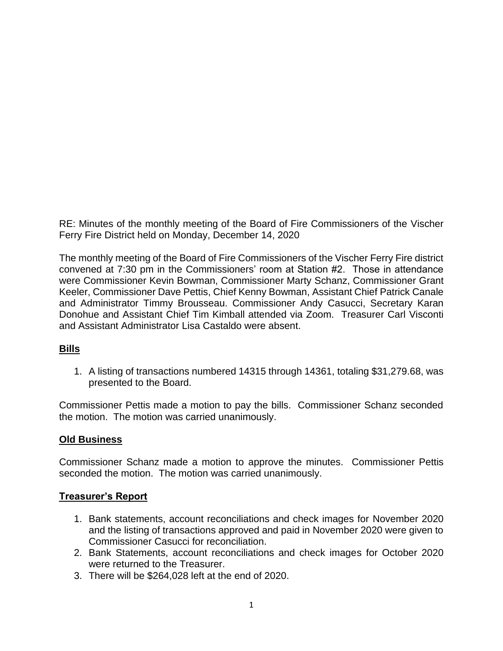RE: Minutes of the monthly meeting of the Board of Fire Commissioners of the Vischer Ferry Fire District held on Monday, December 14, 2020

The monthly meeting of the Board of Fire Commissioners of the Vischer Ferry Fire district convened at 7:30 pm in the Commissioners' room at Station #2. Those in attendance were Commissioner Kevin Bowman, Commissioner Marty Schanz, Commissioner Grant Keeler, Commissioner Dave Pettis, Chief Kenny Bowman, Assistant Chief Patrick Canale and Administrator Timmy Brousseau. Commissioner Andy Casucci, Secretary Karan Donohue and Assistant Chief Tim Kimball attended via Zoom. Treasurer Carl Visconti and Assistant Administrator Lisa Castaldo were absent.

# **Bills**

1. A listing of transactions numbered 14315 through 14361, totaling \$31,279.68, was presented to the Board.

Commissioner Pettis made a motion to pay the bills. Commissioner Schanz seconded the motion. The motion was carried unanimously.

# **Old Business**

Commissioner Schanz made a motion to approve the minutes. Commissioner Pettis seconded the motion. The motion was carried unanimously.

# **Treasurer's Report**

- 1. Bank statements, account reconciliations and check images for November 2020 and the listing of transactions approved and paid in November 2020 were given to Commissioner Casucci for reconciliation.
- 2. Bank Statements, account reconciliations and check images for October 2020 were returned to the Treasurer.
- 3. There will be \$264,028 left at the end of 2020.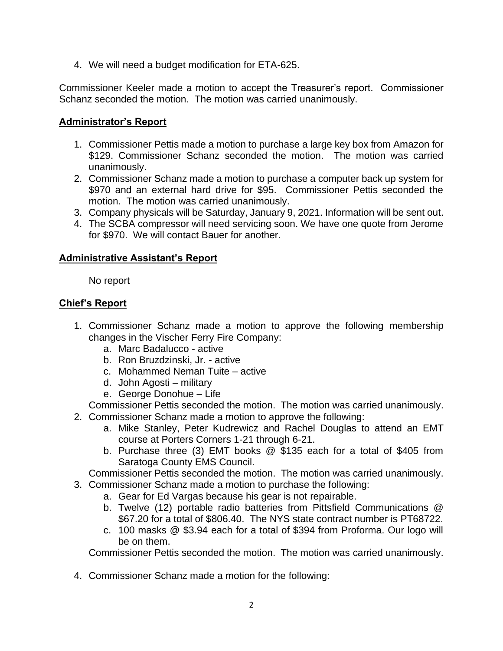4. We will need a budget modification for ETA-625.

Commissioner Keeler made a motion to accept the Treasurer's report. Commissioner Schanz seconded the motion. The motion was carried unanimously.

### **Administrator's Report**

- 1. Commissioner Pettis made a motion to purchase a large key box from Amazon for \$129. Commissioner Schanz seconded the motion. The motion was carried unanimously.
- 2. Commissioner Schanz made a motion to purchase a computer back up system for \$970 and an external hard drive for \$95. Commissioner Pettis seconded the motion. The motion was carried unanimously.
- 3. Company physicals will be Saturday, January 9, 2021. Information will be sent out.
- 4. The SCBA compressor will need servicing soon. We have one quote from Jerome for \$970. We will contact Bauer for another.

### **Administrative Assistant's Report**

No report

# **Chief's Report**

- 1. Commissioner Schanz made a motion to approve the following membership changes in the Vischer Ferry Fire Company:
	- a. Marc Badalucco active
	- b. Ron Bruzdzinski, Jr. active
	- c. Mohammed Neman Tuite active
	- d. John Agosti military
	- e. George Donohue Life

Commissioner Pettis seconded the motion. The motion was carried unanimously.

- 2. Commissioner Schanz made a motion to approve the following:
	- a. Mike Stanley, Peter Kudrewicz and Rachel Douglas to attend an EMT course at Porters Corners 1-21 through 6-21.
	- b. Purchase three (3) EMT books @ \$135 each for a total of \$405 from Saratoga County EMS Council.

Commissioner Pettis seconded the motion. The motion was carried unanimously. 3. Commissioner Schanz made a motion to purchase the following:

- a. Gear for Ed Vargas because his gear is not repairable.
	- b. Twelve (12) portable radio batteries from Pittsfield Communications @ \$67.20 for a total of \$806.40. The NYS state contract number is PT68722.
	- c. 100 masks @ \$3.94 each for a total of \$394 from Proforma. Our logo will be on them.

Commissioner Pettis seconded the motion. The motion was carried unanimously.

4. Commissioner Schanz made a motion for the following: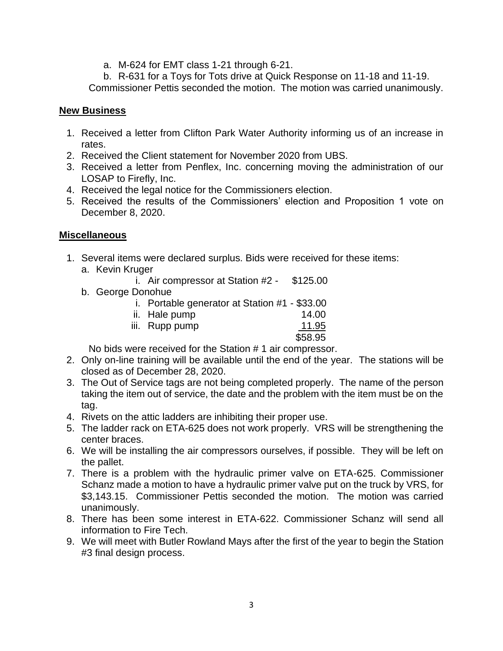a. M-624 for EMT class 1-21 through 6-21.

b. R-631 for a Toys for Tots drive at Quick Response on 11-18 and 11-19.

Commissioner Pettis seconded the motion. The motion was carried unanimously.

### **New Business**

- 1. Received a letter from Clifton Park Water Authority informing us of an increase in rates.
- 2. Received the Client statement for November 2020 from UBS.
- 3. Received a letter from Penflex, Inc. concerning moving the administration of our LOSAP to Firefly, Inc.
- 4. Received the legal notice for the Commissioners election.
- 5. Received the results of the Commissioners' election and Proposition 1 vote on December 8, 2020.

### **Miscellaneous**

- 1. Several items were declared surplus. Bids were received for these items: a. Kevin Kruger
	- i. Air compressor at Station #2 \$125.00
	- b. George Donohue
		- i. Portable generator at Station #1 \$33.00

| ii. Hale pump  | 14.00   |
|----------------|---------|
| iii. Rupp pump | 11.95   |
|                | \$58.95 |

No bids were received for the Station # 1 air compressor.

- 2. Only on-line training will be available until the end of the year. The stations will be closed as of December 28, 2020.
- 3. The Out of Service tags are not being completed properly. The name of the person taking the item out of service, the date and the problem with the item must be on the tag.
- 4. Rivets on the attic ladders are inhibiting their proper use.
- 5. The ladder rack on ETA-625 does not work properly. VRS will be strengthening the center braces.
- 6. We will be installing the air compressors ourselves, if possible. They will be left on the pallet.
- 7. There is a problem with the hydraulic primer valve on ETA-625. Commissioner Schanz made a motion to have a hydraulic primer valve put on the truck by VRS, for \$3,143.15. Commissioner Pettis seconded the motion. The motion was carried unanimously.
- 8. There has been some interest in ETA-622. Commissioner Schanz will send all information to Fire Tech.
- 9. We will meet with Butler Rowland Mays after the first of the year to begin the Station #3 final design process.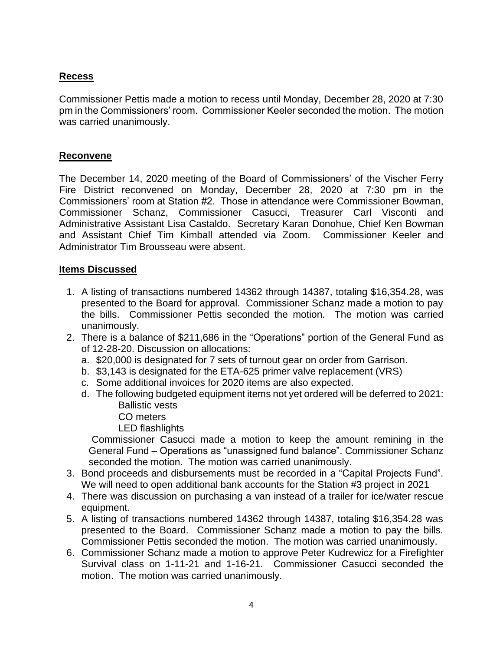# **Recess**

Commissioner Pettis made a motion to recess until Monday, December 28, 2020 at 7:30 pm in the Commissioners' room. Commissioner Keeler seconded the motion. The motion was carried unanimously.

#### **Reconvene**

The December 14, 2020 meeting of the Board of Commissioners' of the Vischer Ferry Fire District reconvened on Monday, December 28, 2020 at 7:30 pm in the Commissioners' room at Station #2. Those in attendance were Commissioner Bowman, Commissioner Schanz, Commissioner Casucci, Treasurer Carl Visconti and Administrative Assistant Lisa Castaldo. Secretary Karan Donohue, Chief Ken Bowman and Assistant Chief Tim Kimball attended via Zoom. Commissioner Keeler and Administrator Tim Brousseau were absent.

#### **Items Discussed**

- 1. A listing of transactions numbered 14362 through 14387, totaling \$16,354.28, was presented to the Board for approval. Commissioner Schanz made a motion to pay the bills. Commissioner Pettis seconded the motion. The motion was carried unanimously.
- 2. There is a balance of \$211,686 in the "Operations" portion of the General Fund as of 12-28-20. Discussion on allocations:
	- a. \$20,000 is designated for 7 sets of turnout gear on order from Garrison.
	- b. \$3,143 is designated for the ETA-625 primer valve replacement (VRS)
	- c. Some additional invoices for 2020 items are also expected.
	- d. The following budgeted equipment items not yet ordered will be deferred to 2021: Ballistic vests
		- CO meters
		- LED flashlights

Commissioner Casucci made a motion to keep the amount remining in the General Fund – Operations as "unassigned fund balance". Commissioner Schanz seconded the motion. The motion was carried unanimously.

- 3. Bond proceeds and disbursements must be recorded in a "Capital Projects Fund". We will need to open additional bank accounts for the Station #3 project in 2021
- 4. There was discussion on purchasing a van instead of a trailer for ice/water rescue equipment.
- 5. A listing of transactions numbered 14362 through 14387, totaling \$16,354.28 was presented to the Board. Commissioner Schanz made a motion to pay the bills. Commissioner Pettis seconded the motion. The motion was carried unanimously.
- 6. Commissioner Schanz made a motion to approve Peter Kudrewicz for a Firefighter Survival class on 1-11-21 and 1-16-21. Commissioner Casucci seconded the motion. The motion was carried unanimously.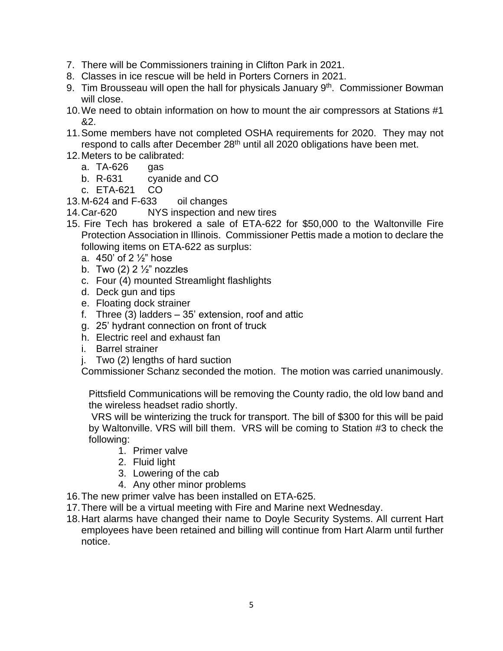- 7. There will be Commissioners training in Clifton Park in 2021.
- 8. Classes in ice rescue will be held in Porters Corners in 2021.
- 9. Tim Brousseau will open the hall for physicals January 9<sup>th</sup>. Commissioner Bowman will close.
- 10.We need to obtain information on how to mount the air compressors at Stations #1 &2.
- 11.Some members have not completed OSHA requirements for 2020. They may not respond to calls after December 28<sup>th</sup> until all 2020 obligations have been met.
- 12.Meters to be calibrated:
	- a. TA-626 gas
	- b. R-631 cyanide and CO
	- c. ETA-621 CO
- 13.M-624 and F-633 oil changes
- 14.Car-620 NYS inspection and new tires
- 15. Fire Tech has brokered a sale of ETA-622 for \$50,000 to the Waltonville Fire Protection Association in Illinois. Commissioner Pettis made a motion to declare the following items on ETA-622 as surplus:
	- a. 450' of 2 ½" hose
	- b. Two  $(2)$  2  $\frac{1}{2}$ " nozzles
	- c. Four (4) mounted Streamlight flashlights
	- d. Deck gun and tips
	- e. Floating dock strainer
	- f. Three (3) ladders 35' extension, roof and attic
	- g. 25' hydrant connection on front of truck
	- h. Electric reel and exhaust fan
	- i. Barrel strainer
	- j. Two (2) lengths of hard suction

Commissioner Schanz seconded the motion. The motion was carried unanimously.

Pittsfield Communications will be removing the County radio, the old low band and the wireless headset radio shortly.

VRS will be winterizing the truck for transport. The bill of \$300 for this will be paid by Waltonville. VRS will bill them. VRS will be coming to Station #3 to check the following:

- 1. Primer valve
- 2. Fluid light
- 3. Lowering of the cab
- 4. Any other minor problems
- 16.The new primer valve has been installed on ETA-625.
- 17.There will be a virtual meeting with Fire and Marine next Wednesday.
- 18.Hart alarms have changed their name to Doyle Security Systems. All current Hart employees have been retained and billing will continue from Hart Alarm until further notice.